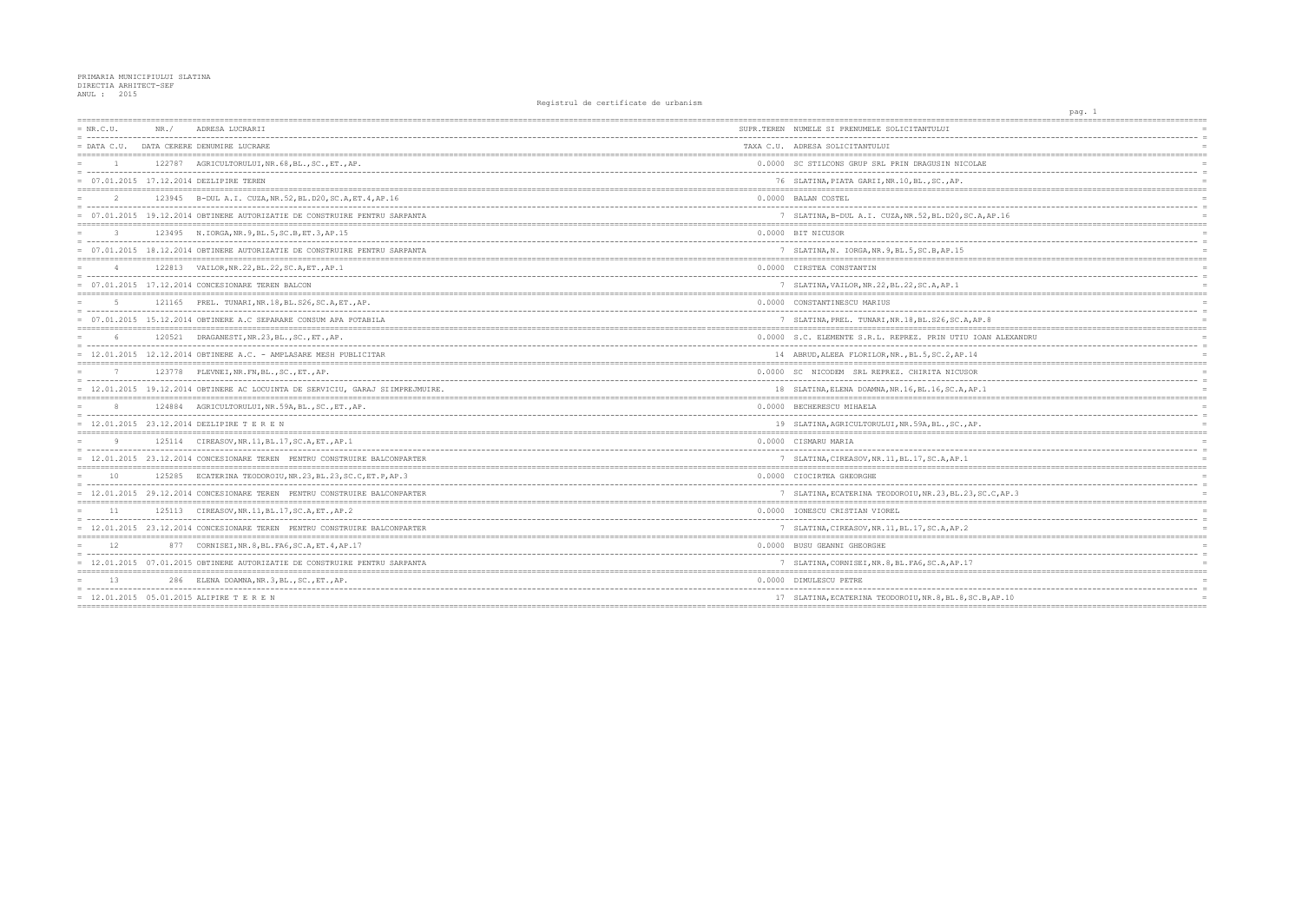| $= NR.C.U.$    | NR. / | ADRESA LUCRARII                                                                | SUPR.TEREN NUMELE SI PRENUMELE SOLICITANTULUI          |
|----------------|-------|--------------------------------------------------------------------------------|--------------------------------------------------------|
| $=$ DATA C.U.  |       | DATA CERERE DENUMIRE LUCRARE                                                   | TAXA C.U. ADRESA SOLICITANTULUI                        |
| $\overline{1}$ |       | 122787 AGRICULTORULUI, NR. 68, BL., SC., ET., AP.                              | 0.0000 SC STILCONS GRUP SRL PRIN DRAGUSIN NICOLAE      |
|                |       | = 07.01.2015 17.12.2014 DEZLIPIRE TEREN                                        | 76 SLATINA, PIATA GARII, NR.10, BL., SC., AP.          |
| $\overline{2}$ |       | 123945 B-DUL A.I. CUZA, NR. 52, BL. D20, SC. A, ET. 4, AP. 16                  | 0.0000 BALAN COSTEL                                    |
|                |       | = 07.01.2015 19.12.2014 OBTINERE AUTORIZATIE DE CONSTRUIRE PENTRU SARPANTA     | 7 SLATINA, B-DUL A.I. CUZA, NR.52, BL.D20, SC.A, A     |
| $\mathcal{L}$  |       | 123495 N.IORGA, NR. 9, BL. 5, SC. B, ET. 3, AP. 15                             | 0.0000 BIT NICUSOR                                     |
|                |       | = 07.01.2015 18.12.2014 OBTINERE AUTORIZATIE DE CONSTRUIRE PENTRU SARPANTA     | 7 SLATINA, N. IORGA, NR. 9, BL. 5, SC. B, AP. 15       |
|                |       | 122813 VAILOR, NR. 22, BL. 22, SC. A, ET., AP. 1                               | 0.0000 CIRSTEA CONSTANTIN                              |
|                |       | $= 07.01.2015 17.12.2014 CONCESIONARE TEREN BALCON$                            | 7 SLATINA, VAILOR, NR. 22, BL. 22, SC. A, AP. 1        |
| 5              |       | 121165 PREL. TUNARI, NR. 18, BL. S26, SC. A, ET., AP.                          | 0.0000 CONSTANTINESCU MARIUS                           |
|                |       | = 07.01.2015 15.12.2014 OBTINERE A.C SEPARARE CONSUM APA POTABILA              | 7 SLATINA, PREL. TUNARI, NR.18, BL.S26, SC.A, AP.8     |
|                |       | 120521 DRAGANESTI, NR.23, BL., SC., ET., AP.                                   | 0.0000 S.C. ELEMENTE S.R.L. REPREZ. PRIN UTIU IOAN     |
|                |       | $= 12.01.2015 12.12.2014$ OBTINERE A.C. - AMPLASARE MESH PUBLICITAR            | 14 ABRUD, ALEEA FLORILOR, NR., BL.5, SC.2, AP.14       |
|                |       | 123778 PLEVNEI, NR. FN, BL., SC., ET., AP.                                     | 0.0000 SC NICODEM SRL REPREZ. CHIRITA NICUSOR          |
|                |       | = 12.01.2015 19.12.2014 OBTINERE AC LOCUINTA DE SERVICIU, GARAJ SIIMPREJMUIRE. | 18 SLATINA, ELENA DOAMNA, NR. 16, BL. 16, SC. A, AP. 1 |
|                |       | 124884 AGRICULTORULUI, NR.59A, BL., SC., ET., AP.                              | 0.0000 BECHERESCU MIHAELA                              |
|                |       | = 12.01.2015 23.12.2014 DEZLIPIRE T E R E N                                    | 19 SLATINA, AGRICULTORULUI, NR.59A, BL., SC., AP.      |
| Q              |       | 125114 CIREASOV, NR. 11, BL. 17, SC. A, ET., AP. 1                             | 0.0000 CISMARU MARIA                                   |
|                |       | = 12.01.2015 23.12.2014 CONCESIONARE TEREN PENTRU CONSTRUIRE BALCONPARTER      | 7 SLATINA, CIREASOV, NR. 11, BL. 17, SC. A, AP. 1      |
| 10             |       | 125285 ECATERINA TEODOROIU, NR. 23, BL. 23, SC. C, ET. P, AP. 3                | 0.0000 CIOCIRTEA GHEORGHE                              |
|                |       | = 12.01.2015 29.12.2014 CONCESIONARE TEREN PENTRU CONSTRUIRE BALCONPARTER      | 7 SLATINA, ECATERINA TEODOROIU, NR. 23, BL. 23, SC.    |
| 11             |       | 125113 CIREASOV, NR. 11, BL. 17, SC. A, ET., AP. 2                             | 0.0000 IONESCU CRISTIAN VIOREL                         |
|                |       | = 12.01.2015 23.12.2014 CONCESIONARE TEREN PENTRU CONSTRUIRE BALCONPARTER      | 7 SLATINA, CIREASOV, NR. 11, BL. 17, SC. A, AP. 2      |
| 12.            |       | 877 CORNISEI, NR. 8, BL. FA6, SC. A, ET. 4, AP. 17                             | 0.0000 BUSU GEANNI GHEORGHE                            |
|                |       | = 12.01.2015 07.01.2015 OBTINERE AUTORIZATIE DE CONSTRUIRE PENTRU SARPANTA     | 7 SLATINA, CORNISEI, NR. 8, BL. FA6, SC. A, AP. 17     |
| 13             |       | 286 ELENA DOAMNA, NR. 3, BL., SC., ET., AP.                                    | 0.0000 DIMULESCU PETRE                                 |
|                |       | $= 12.01.2015 05.01.2015 ALIPIRE T E R E N$                                    | 17 SLATINA, ECATERINA TEODOROIU, NR. 8, BL. 8, SC. B,  |
|                |       |                                                                                |                                                        |

|                                       | pag. 1 |                               |                 |
|---------------------------------------|--------|-------------------------------|-----------------|
|                                       |        |                               |                 |
|                                       |        |                               | $\overline{a}$  |
|                                       |        |                               | $\equiv$        |
| ========                              |        |                               |                 |
| AE                                    |        |                               | $=$             |
|                                       |        |                               | $\equiv$        |
|                                       |        | ==========                    |                 |
|                                       |        |                               |                 |
|                                       |        |                               | $\overline{a}$  |
| A, AP.16                              |        |                               |                 |
| ----------------                      |        |                               | $=$             |
|                                       |        |                               |                 |
|                                       |        |                               | $\equiv$<br>$=$ |
|                                       |        |                               |                 |
|                                       |        |                               | $\equiv$        |
|                                       |        |                               | $\equiv$        |
|                                       |        |                               | $\overline{a}$  |
| ------------------------------------- |        |                               |                 |
|                                       |        |                               |                 |
| AP.8                                  |        |                               | $\overline{a}$  |
|                                       |        |                               |                 |
| <b>IOAN ALEXANDRU</b>                 |        |                               |                 |
|                                       |        |                               | $\equiv$        |
| 1                                     |        |                               |                 |
|                                       |        |                               |                 |
| Ŕ                                     |        |                               |                 |
|                                       |        |                               | $\equiv$        |
| P.1                                   |        |                               | $=$             |
|                                       |        |                               |                 |
|                                       |        |                               | $\overline{a}$  |
| ?.                                    |        |                               |                 |
| $=$                                   |        | _____________________________ |                 |
|                                       |        |                               |                 |
|                                       |        |                               | $\equiv$        |
|                                       |        |                               |                 |
|                                       |        |                               | $=$             |
|                                       |        |                               | $\equiv$        |
| SC.C, AP.3                            |        |                               |                 |
|                                       |        |                               |                 |
|                                       |        |                               | $\equiv$        |
|                                       |        |                               | $\equiv$        |
|                                       |        |                               |                 |
|                                       |        |                               |                 |
|                                       |        |                               | $\equiv$        |
|                                       |        |                               |                 |
| ======                                |        |                               | $=$ $=$ $=$     |
|                                       |        |                               |                 |
| $ -$<br>$- -$                         |        |                               | $=$             |
| C.B, AP.10<br>===========             |        |                               |                 |
|                                       |        |                               |                 |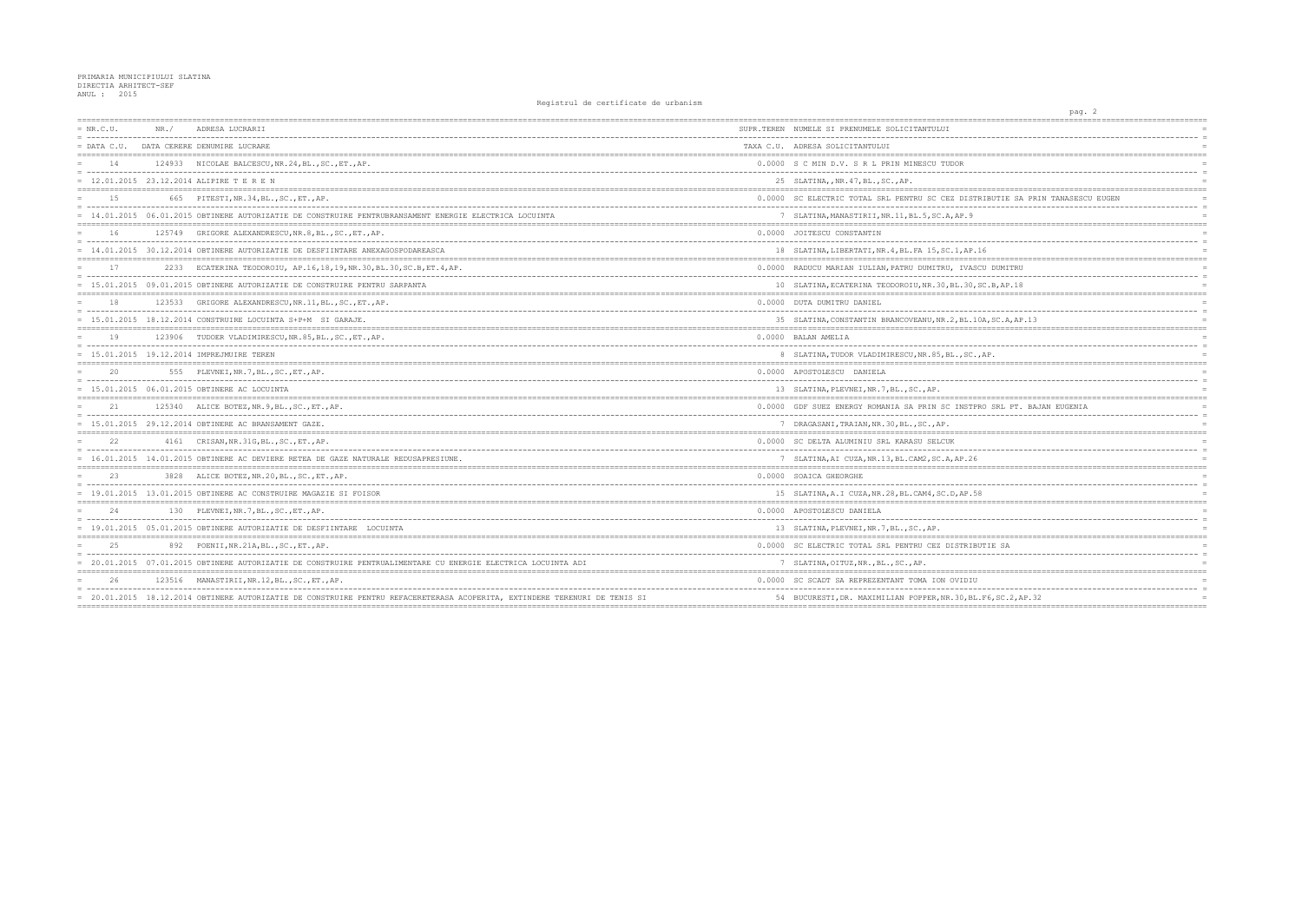| $= NR.C.U.$   | NR. / | ADRESA LUCRARII                                                                                                            | SUPR.TEREN NUMELE SI PRENUMELE SOLICITANTULUI         |
|---------------|-------|----------------------------------------------------------------------------------------------------------------------------|-------------------------------------------------------|
| $=$ DATA C.U. |       | DATA CERERE DENUMIRE LUCRARE                                                                                               | TAXA C.U. ADRESA SOLICITANTULUI                       |
| 14            |       | 124933 NICOLAE BALCESCU, NR. 24, BL., SC., ET., AP.                                                                        | 0.0000 S C MIN D.V. S R L PRIN MINESCU TUDOR          |
|               |       | $= 12.01.2015 23.12.2014 ALIPIRE T E R E N$                                                                                | 25 SLATINA, , NR. 47, BL., SC., AP.                   |
| 1.5           |       | 665 PITESTI, NR. 34, BL., SC., ET., AP.                                                                                    | 0.0000 SC ELECTRIC TOTAL SRL PENTRU SC CEZ DISTR      |
|               |       | = 14.01.2015 06.01.2015 OBTINERE AUTORIZATIE DE CONSTRUIRE PENTRUBRANSAMENT ENERGIE ELECTRICA LOCUINTA                     | 7 SLATINA, MANASTIRII, NR. 11, BL. 5, SC. A, AP. 9    |
| 16            |       | 125749 GRIGORE ALEXANDRESCU, NR. 8, BL., SC., ET., AP.                                                                     | 0.0000 JOITESCU CONSTANTIN                            |
|               |       | = 14.01.2015 30.12.2014 OBTINERE AUTORIZATIE DE DESFIINTARE ANEXAGOSPODAREASCA                                             | 18 SLATINA, LIBERTATI, NR. 4, BL. FA 15, SC. 1, AP. 1 |
| 17            |       | 2233 ECATERINA TEODOROIU, AP.16,18,19,NR.30,BL.30,SC.B,ET.4,AP.                                                            | 0.0000 RADUCU MARIAN IULIAN, PATRU DUMITRU, IVASCI    |
|               |       | = 15.01.2015 09.01.2015 OBTINERE AUTORIZATIE DE CONSTRUIRE PENTRU SARPANTA                                                 | 10 SLATINA, ECATERINA TEODOROIU, NR. 30, BL. 30, S    |
| 18            |       | 123533 GRIGORE ALEXANDRESCU, NR. 11, BL., SC., ET., AP.                                                                    | 0.0000 DUTA DUMITRU DANIEL                            |
|               |       | $= 15.01.2015 18.12.2014$ CONSTRUIRE LOCUINTA S+P+M SI GARAJE.                                                             | 35 SLATINA, CONSTANTIN BRANCOVEANU, NR. 2, BL. 10     |
| 19            |       | 123906 TUDOER VLADIMIRESCU, NR.85, BL., SC., ET., AP.                                                                      | 0.0000 BALAN AMELIA                                   |
|               |       | = 15.01.2015 19.12.2014 IMPREJMUIRE TEREN                                                                                  | 8 SLATINA, TUDOR VLADIMIRESCU, NR.85, BL., SC.,       |
|               |       | 555 PLEVNEI, NR. 7, BL., SC., ET., AP.                                                                                     | 0.0000 APOSTOLESCU DANIELA                            |
|               |       | $= 15.01.2015 06.01.2015$ OBTINERE AC LOCUINTA                                                                             | 13 SLATINA, PLEVNEI, NR. 7, BL., SC., AP.             |
| 21            |       | 125340 ALICE BOTEZ, NR. 9, BL., SC., ET., AP.                                                                              | 0.0000 GDF SUEZ ENERGY ROMANIA SA PRIN SC INSTPR      |
|               |       | 15.01.2015 29.12.2014 OBTINERE AC BRANSAMENT GAZE.                                                                         | 7 DRAGASANI, TRAIAN, NR. 30, BL., SC., AP.            |
|               |       | 4161 CRISAN, NR. 31G, BL., SC., ET., AP.                                                                                   | 0.0000 SC DELTA ALUMINIU SRL KARASU SELCUK            |
|               |       | = 16.01.2015 14.01.2015 OBTINERE AC DEVIERE RETEA DE GAZE NATURALE REDUSAPRESIUNE.                                         | 7 SLATINA, AI CUZA, NR.13, BL.CAM2, SC.A, AP.26       |
| 2.3           | 3828  | ALICE BOTEZ, NR.20, BL., SC., ET., AP.                                                                                     | 0.0000 SOAICA GHEORGHE                                |
|               |       | = 19.01.2015 13.01.2015 OBTINERE AC CONSTRUIRE MAGAZIE SI FOISOR                                                           | 15 SLATINA, A.I CUZA, NR. 28, BL. CAM4, SC. D, AP. 58 |
| 24            |       | 130 PLEVNEI, NR. 7, BL., SC., ET., AP.                                                                                     | 0.0000 APOSTOLESCU DANIELA                            |
|               |       | = 19.01.2015 05.01.2015 OBTINERE AUTORIZATIE DE DESFIINTARE LOCUINTA                                                       | 13 SLATINA, PLEVNEI, NR. 7, BL., SC., AP.             |
| 2.5           |       | 892 POENII, NR. 21A, BL., SC., ET., AP.                                                                                    | 0.0000 SC ELECTRIC TOTAL SRL PENTRU CEZ DISTRIBUY     |
|               |       | = 20.01.2015 07.01.2015 OBTINERE AUTORIZATIE DE CONSTRUIRE PENTRUALIMENTARE CU ENERGIE ELECTRICA LOCUINTA ADI              | 7 SLATINA, OITUZ, NR., BL., SC., AP.                  |
| 26            |       | 123516 MANASTIRII, NR.12, BL., SC., ET., AP.                                                                               | 0.0000 SC SCADT SA REPREZENTANT TOMA ION OVIDIU       |
|               |       | = 20.01.2015 18.12.2014 OBTINERE AUTORIZATIE DE CONSTRUIRE PENTRU REFACERETERASA ACOPERITA, EXTINDERE TERENURI DE TENIS SI | 54 BUCURESTI, DR. MAXIMILIAN POPPER, NR. 30, BL.      |
|               |       |                                                                                                                            |                                                       |

| pag. 2<br>----------------                              |                      |
|---------------------------------------------------------|----------------------|
|                                                         |                      |
|                                                         | $\equiv$             |
|                                                         |                      |
|                                                         |                      |
|                                                         | $\overline{a}$       |
|                                                         |                      |
| IBUTIE SA PRIN TANASESCU EUGEN                          |                      |
|                                                         | $\equiv$             |
|                                                         | $=$                  |
| ========<br>----------------------------                | $=$                  |
|                                                         |                      |
| 5                                                       |                      |
| ---------------------<br>=================<br>J DUMITRU | $\equiv$             |
|                                                         | $\equiv$             |
| $B,$ B, AP. $18$                                        |                      |
|                                                         |                      |
|                                                         | $\equiv$             |
| 4, SC.A, AP.13                                          |                      |
|                                                         |                      |
|                                                         |                      |
| AΡ.                                                     |                      |
|                                                         |                      |
|                                                         | $\overline{a}$       |
|                                                         | $=$                  |
|                                                         |                      |
| ) SRL PT. BAJAN EUGENIA                                 | $\equiv$             |
|                                                         |                      |
|                                                         |                      |
|                                                         | $\equiv$             |
|                                                         |                      |
| ========                                                |                      |
|                                                         | $\equiv$             |
|                                                         |                      |
|                                                         |                      |
|                                                         | $\equiv$<br>$\equiv$ |
|                                                         | $\equiv$             |
|                                                         |                      |
| TIE SA                                                  |                      |
|                                                         | $\equiv$             |
|                                                         | $=$ $=$ $=$          |
|                                                         |                      |
| ----------<br>76, SC.2, AP.32                           | $\equiv$             |
|                                                         |                      |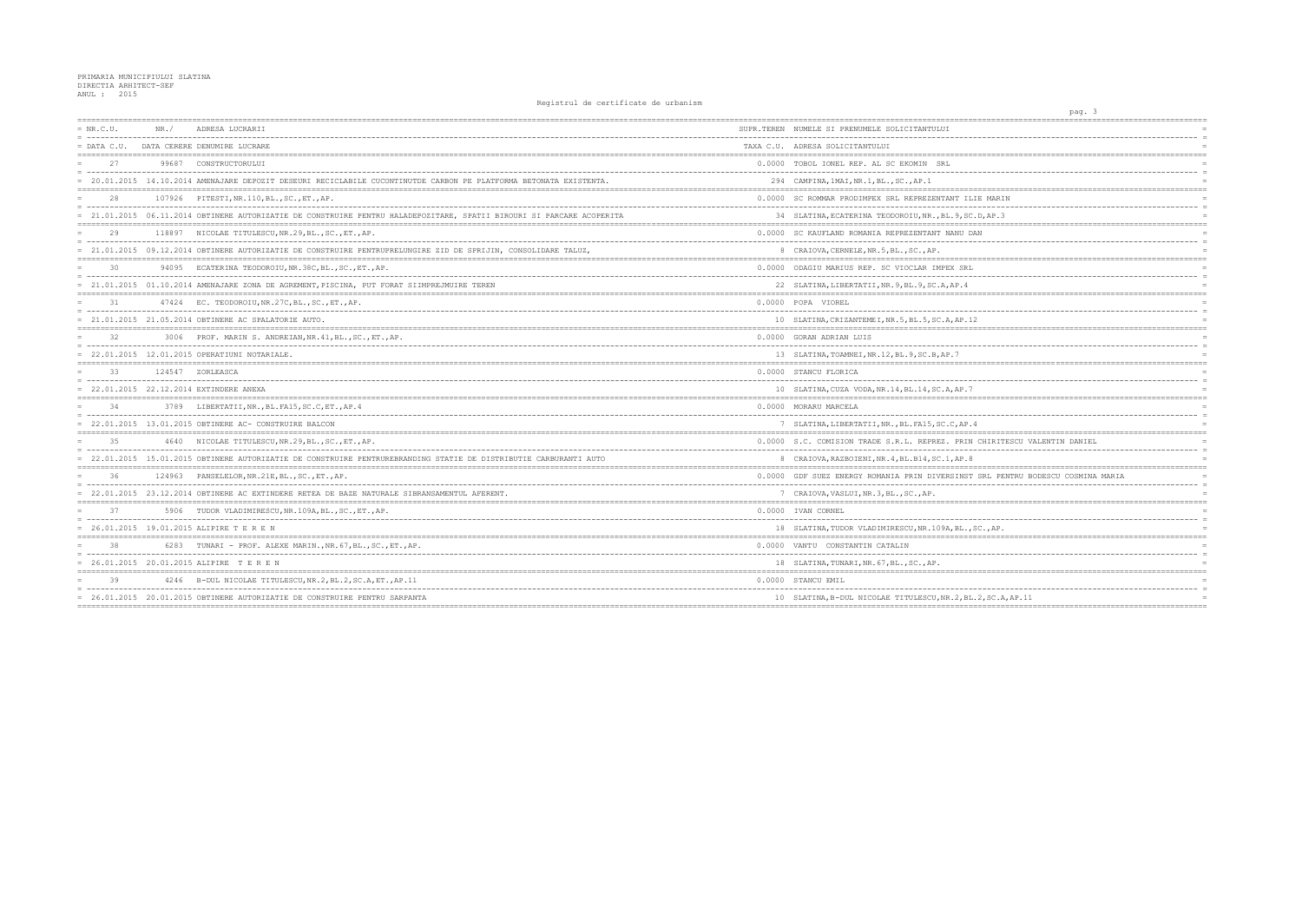| $= NR.C.U.$   | NR. / | ADRESA LUCRARII                                                                                                       | SUPR.TEREN NUMELE SI PRENUMELE SOLICITANTULUI        |
|---------------|-------|-----------------------------------------------------------------------------------------------------------------------|------------------------------------------------------|
| $=$ DATA C.U. |       | DATA CERERE DENUMIRE LUCRARE                                                                                          | TAXA C.U. ADRESA SOLICITANTULUI                      |
| 27            |       | 99687 CONSTRUCTORULUI                                                                                                 | 0.0000 TOBOL IONEL REP. AL SC EKOMIN SRL             |
|               |       | = 20.01.2015 14.10.2014 AMENAJARE DEPOZIT DESEURI RECICLABILE CUCONTINUTDE CARBON PE PLATFORMA BETONATA EXISTENTA.    | 294 CAMPINA, 1MAI, NR.1, BL., SC., AP.1              |
| 28            |       | 107926 PITESTI, NR. 110, BL., SC., ET., AP.                                                                           | 0.0000 SC ROMMAR PRODIMPEX SRL REPREZENTANT ILIE     |
|               |       | = 21.01.2015 06.11.2014 OBTINERE AUTORIZATIE DE CONSTRUIRE PENTRU HALADEPOZITARE, SPATII BIROURI SI PARCARE ACOPERITA | 34 SLATINA, ECATERINA TEODOROIU, NR., BL. 9, SC. D.  |
|               |       | 118897 NICOLAE TITULESCU, NR.29, BL., SC., ET., AP.                                                                   | 0.0000 SC KAUFLAND ROMANIA REPREZENTANT NANU DAN     |
|               |       | = 21.01.2015 09.12.2014 OBTINERE AUTORIZATIE DE CONSTRUIRE PENTRUPRELUNGIRE ZID DE SPRIJIN, CONSOLIDARE TALUZ,        | 8 CRAIOVA, CERNELE, NR. 5, BL., SC., AP.             |
| 30            |       | 94095 ECATERINA TEODOROIU, NR.38C, BL., SC., ET., AP.                                                                 | 0.0000 ODAGIU MARIUS REP. SC VIOCLAR IMPEX SRL       |
|               |       | = 21.01.2015 01.10.2014 AMENAJARE ZONA DE AGREMENT, PISCINA, PUT FORAT SIIMPREJMUIRE TEREN                            | 22 SLATINA, LIBERTATII, NR. 9, BL. 9, SC. A, AP. 4   |
| 31            |       | 47424 EC. TEODOROIU, NR.27C, BL., SC., ET., AP.                                                                       | 0.0000 POPA VIOREL                                   |
|               |       | = 21.01.2015 21.05.2014 OBTINERE AC SPALATORIE AUTO.                                                                  | 10 SLATINA, CRIZANTEMEI, NR. 5, BL. 5, SC. A, AP. 12 |
| 32            |       | 3006 PROF. MARIN S. ANDREIAN, NR. 41, BL., SC., ET., AP.                                                              | 0.0000 GORAN ADRIAN LUIS                             |
|               |       | $= 22.01.2015 12.01.2015$ OPERATIUNI NOTARIALE.                                                                       | 13 SLATINA, TOAMNEI, NR.12, BL.9, SC.B, AP.7         |
| 33            |       | 124547 ZORLEASCA                                                                                                      | 0.0000 STANCU FLORICA                                |
|               |       | = 22.01.2015 22.12.2014 EXTINDERE ANEXA                                                                               | 10 SLATINA, CUZA VODA, NR. 14, BL. 14, SC. A, AP. 7  |
| 34            |       | 3789 LIBERTATII, NR., BL. FA15, SC.C, ET., AP. 4                                                                      | 0.0000 MORARU MARCELA                                |
|               |       | $= 22.01.2015 13.01.2015$ OBTINERE AC- CONSTRUIRE BALCON                                                              | 7 SLATINA, LIBERTATII, NR., BL. FA15, SC.C, AP. 4    |
|               |       | 4640 NICOLAE TITULESCU, NR.29, BL., SC., ET., AP.                                                                     | 0.0000 S.C. COMISION TRADE S.R.L. REPREZ. PRIN CH    |
|               |       | = 22.01.2015 15.01.2015 OBTINERE AUTORIZATIE DE CONSTRUIRE PENTRUREBRANDING STATIE DE DISTRIBUTIE CARBURANTI AUTO     | 8 CRAIOVA, RAZBOIENI, NR. 4, BL. B14, SC. 1, AP. 8   |
| 36            |       | 124963 PANSELELOR, NR. 21E, BL., SC., ET., AP.                                                                        | 0.0000 GDF SUEZ ENERGY ROMANIA PRIN DIVERSINST SF    |
|               |       | = 22.01.2015 23.12.2014 OBTINERE AC EXTINDERE RETEA DE BAZE NATURALE SIBRANSAMENTUL AFERENT.                          | 7 CRAIOVA, VASLUI, NR. 3, BL., SC., AP.              |
|               |       | 5906 TUDOR VLADIMIRESCU, NR. 109A, BL., SC., ET., AP.                                                                 | 0.0000 IVAN CORNEL                                   |
|               |       | $= 26.01.2015 19.01.2015 ALIPIRE T E R E N$                                                                           | 18 SLATINA, TUDOR VLADIMIRESCU, NR.109A, BL., SC.    |
|               |       | 6283 TUNARI - PROF. ALEXE MARIN., NR. 67, BL., SC., ET., AP.                                                          | 0.0000 VANTU CONSTANTIN CATALIN                      |
|               |       | = 26.01.2015 20.01.2015 ALIPIRE TEREN                                                                                 | 18 SLATINA, TUNARI, NR. 67, BL., SC., AP.            |
| 39            |       | 4246 B-DUL NICOLAE TITULESCU, NR. 2, BL. 2, SC. A, ET., AP. 11                                                        | 0.0000 STANCU EMIL                                   |
|               |       | = 26.01.2015 20.01.2015 OBTINERE AUTORIZATIE DE CONSTRUIRE PENTRU SARPANTA                                            | 10 SLATINA, B-DUL NICOLAE TITULESCU, NR. 2, BL. 2,   |
|               |       |                                                                                                                       |                                                      |

| pag. 3<br>---------                       |                            |
|-------------------------------------------|----------------------------|
| ============                              |                            |
|                                           | $=$                        |
| -----------------------------<br>======== |                            |
|                                           |                            |
|                                           | $\overline{a}$             |
| --------------------------------------    |                            |
| MARIN                                     |                            |
|                                           | $\overline{a}$             |
| AP.3<br>=========                         | $\equiv$                   |
|                                           |                            |
|                                           | $\overline{a}$             |
|                                           |                            |
|                                           |                            |
|                                           | $\equiv$                   |
|                                           |                            |
|                                           |                            |
|                                           | $\equiv$                   |
|                                           |                            |
|                                           |                            |
|                                           | $\overline{a}$             |
|                                           | $=$<br>$=$                 |
|                                           |                            |
|                                           | $\overline{a}$             |
|                                           | $=$                        |
|                                           |                            |
|                                           | $\equiv$                   |
| ;=============================            |                            |
| HIRITESCU VALENTIN DANIEL                 |                            |
|                                           | $\overline{a}$             |
|                                           |                            |
| RL PENTRU BODESCU COSMINA MARIA           |                            |
|                                           | $\equiv$                   |
| ----------                                |                            |
|                                           |                            |
|                                           | $\overline{a}$<br>$\equiv$ |
| $,$ $AP.$                                 |                            |
|                                           |                            |
|                                           | $\overline{a}$             |
|                                           |                            |
|                                           |                            |
| -----<br>SC.A, AP.11                      | $\equiv$                   |
|                                           |                            |
|                                           |                            |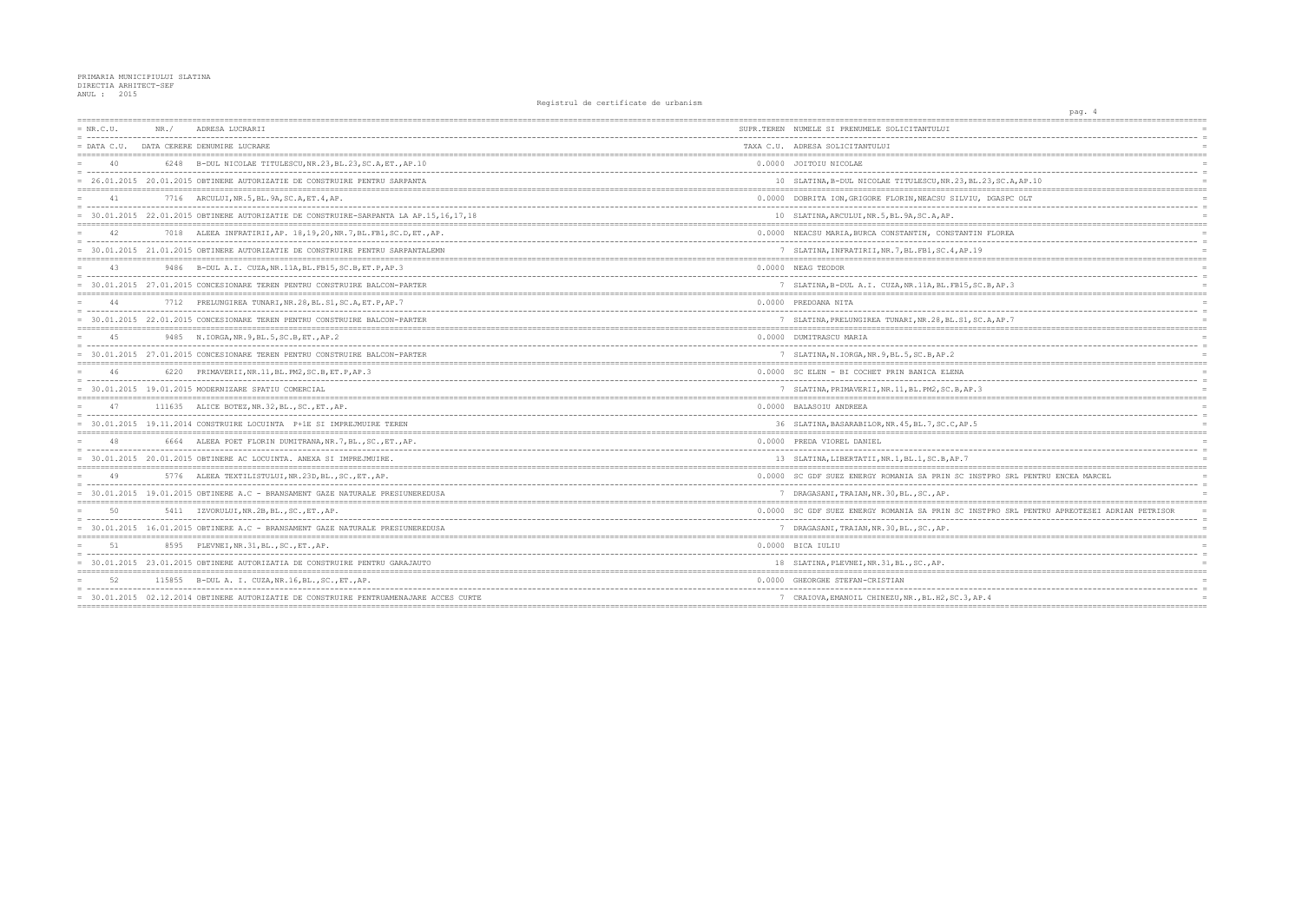| $= NR.C.U.$ | NR. / | ADRESA LUCRARII                                                                        | SUPR.TEREN NUMELE SI PRENUMELE SOLICITANTULUI        |
|-------------|-------|----------------------------------------------------------------------------------------|------------------------------------------------------|
|             |       | = DATA C.U. DATA CERERE DENUMIRE LUCRARE                                               | TAXA C.U. ADRESA SOLICITANTULUI                      |
| 40          |       | 6248 B-DUL NICOLAE TITULESCU, NR. 23, BL. 23, SC. A, ET., AP. 10                       | 0.0000 JOITOIU NICOLAE                               |
|             |       | = 26.01.2015 20.01.2015 OBTINERE AUTORIZATIE DE CONSTRUIRE PENTRU SARPANTA             | 10 SLATINA, B-DUL NICOLAE TITULESCU, NR. 23, BL.     |
| 41          |       | 7716 ARCULUI, NR.5, BL.9A, SC.A, ET.4, AP.                                             | 0.0000 DOBRITA ION, GRIGORE FLORIN, NEACSU SILVIU,   |
|             |       | = 30.01.2015 22.01.2015 OBTINERE AUTORIZATIE DE CONSTRUIRE-SARPANTA LA AP.15,16,17,18  | 10 SLATINA, ARCULUI, NR.5, BL.9A, SC.A, AP.          |
|             |       | 7018 ALEEA INFRATIRII, AP. 18, 19, 20, NR. 7, BL. FB1, SC. D, ET., AP.                 | 0.0000 NEACSU MARIA, BURCA CONSTANTIN, CONSTANTIN    |
|             |       | = 30.01.2015 21.01.2015 OBTINERE AUTORIZATIE DE CONSTRUIRE PENTRU SARPANTALEMN         | 7 SLATINA, INFRATIRII, NR. 7, BL. FB1, SC. 4, AP. 19 |
|             |       | 9486 B-DUL A.I. CUZA, NR.11A, BL.FB15, SC.B, ET.P, AP.3                                | 0.0000 NEAG TEODOR                                   |
|             |       | 30.01.2015 27.01.2015 CONCESIONARE TEREN PENTRU CONSTRUIRE BALCON-PARTER               | 7 SLATINA, B-DUL A.I. CUZA, NR.11A, BL.FB15, SC      |
| 44          |       | 7712 PRELUNGIREA TUNARI, NR. 28, BL. S1, SC. A, ET. P, AP. 7                           | 0.0000 PREDOANA NITA                                 |
|             |       | 30.01.2015 22.01.2015 CONCESIONARE TEREN PENTRU CONSTRUIRE BALCON-PARTER               | 7 SLATINA, PRELUNGIREA TUNARI, NR.28, BL.S1, SC      |
| 4.5         |       | 9485 N. IORGA, NR. 9, BL. 5, SC. B, ET., AP. 2                                         | 0.0000 DUMITRASCU MARIA                              |
|             |       | = 30.01.2015 27.01.2015 CONCESIONARE TEREN PENTRU CONSTRUIRE BALCON-PARTER             | 7 SLATINA, N. IORGA, NR. 9, BL. 5, SC. B, AP. 2      |
| 46          |       | 6220 PRIMAVERII, NR. 11, BL. PM2, SC. B, ET. P, AP. 3                                  | 0.0000 SC ELEN - BI COCHET PRIN BANICA ELENA         |
|             |       | $= 30.01.2015$ 19.01.2015 MODERNIZARE SPATIU COMERCIAL                                 | 7 SLATINA, PRIMAVERII, NR. 11, BL. PM2, SC. B, AP. 3 |
| 47          |       | 111635 ALICE BOTEZ, NR.32, BL., SC., ET., AP.                                          | 0.0000 BALASOIU ANDREEA                              |
|             |       | 30.01.2015 19.11.2014 CONSTRUIRE LOCUINTA P+1E SI IMPREJMUIRE TEREN                    | 36 SLATINA, BASARABILOR, NR. 45, BL. 7, SC. C, AP. 5 |
|             |       | 6664 ALEEA POET FLORIN DUMITRANA, NR. 7, BL., SC., ET., AP.                            | 0.0000 PREDA VIOREL DANIEL                           |
|             |       | = 30.01.2015 20.01.2015 OBTINERE AC LOCUINTA. ANEXA SI IMPREJMUIRE.                    | 13 SLATINA, LIBERTATII, NR. 1, BL. 1, SC. B, AP. 7   |
| 49          |       | 5776 ALEEA TEXTILISTULUI, NR.23D, BL., SC., ET., AP.                                   | 0.0000 SC GDF SUEZ ENERGY ROMANIA SA PRIN SC INS'    |
|             |       | = 30.01.2015 19.01.2015 OBTINERE A.C - BRANSAMENT GAZE NATURALE PRESIUNEREDUSA         | 7 DRAGASANI, TRAIAN, NR. 30, BL., SC., AP.           |
| 50          |       | 5411 IZVORULUI, NR.2B, BL., SC., ET., AP.                                              | 0.0000 SC GDF SUEZ ENERGY ROMANIA SA PRIN SC INS'    |
|             |       | 30.01.2015 16.01.2015 OBTINERE A.C - BRANSAMENT GAZE NATURALE PRESIUNEREDUSA           | 7 DRAGASANI, TRAIAN, NR. 30, BL., SC., AP.           |
| 51          |       | 8595 PLEVNEI, NR.31, BL., SC., ET., AP.                                                | 0.0000 BICA IULIU                                    |
|             |       | = 30.01.2015 23.01.2015 OBTINERE AUTORIZATIA DE CONSTRUIRE PENTRU GARAJAUTO            | 18 SLATINA, PLEVNEI, NR.31, BL., SC., AP.            |
| 52          |       | 115855 B-DUL A. I. CUZA, NR. 16, BL., SC., ET., AP.                                    | 0.0000 GHEORGHE STEFAN-CRISTIAN                      |
|             |       | = 30.01.2015 02.12.2014 OBTINERE AUTORIZATIE DE CONSTRUIRE PENTRUAMENAJARE ACCES CURTE | 7 CRAIOVA, EMANOIL CHINEZU, NR., BL.H2, SC.3, AP     |
|             |       |                                                                                        |                                                      |

|                                            | pag. 4                     |                    |                 |                 |
|--------------------------------------------|----------------------------|--------------------|-----------------|-----------------|
| ===========                                |                            | ;================= | --------        |                 |
|                                            |                            |                    |                 | $\equiv$        |
|                                            |                            |                    |                 |                 |
|                                            |                            |                    |                 |                 |
|                                            |                            |                    |                 |                 |
|                                            |                            |                    |                 | $\equiv$        |
| 23, SC.A, AP.10                            |                            |                    |                 |                 |
| DGASPC OLT                                 |                            |                    |                 |                 |
|                                            |                            |                    |                 | $\equiv$        |
|                                            |                            |                    |                 |                 |
| ----------------                           |                            |                    |                 | $=$             |
| FLOREA                                     |                            |                    |                 |                 |
|                                            |                            |                    |                 | $=$             |
|                                            |                            |                    |                 |                 |
|                                            |                            |                    |                 |                 |
|                                            |                            |                    |                 | $=$<br>$\equiv$ |
| .B, AP.3                                   |                            |                    |                 | $=$             |
|                                            |                            |                    |                 | $=$             |
|                                            |                            |                    |                 |                 |
|                                            |                            |                    |                 | $=$             |
| A, AP.7                                    |                            |                    |                 | $=$             |
|                                            |                            |                    |                 |                 |
|                                            |                            |                    |                 |                 |
|                                            |                            |                    |                 | $\equiv$<br>$=$ |
|                                            |                            |                    | $=$ $=$ $=$ $=$ |                 |
|                                            |                            |                    |                 |                 |
|                                            |                            |                    |                 | $=$             |
|                                            |                            |                    |                 | $=$             |
| =======                                    | ;========================= |                    |                 |                 |
|                                            |                            |                    |                 |                 |
|                                            |                            |                    |                 | $\equiv$        |
|                                            |                            |                    |                 | $\equiv$        |
|                                            |                            |                    |                 |                 |
|                                            |                            |                    |                 | $\equiv$        |
|                                            |                            |                    |                 |                 |
|                                            |                            |                    |                 |                 |
| PPRO SRL PENTRU ENCEA MARCEL               |                            |                    |                 |                 |
|                                            |                            |                    |                 | $\equiv$        |
|                                            |                            |                    |                 |                 |
|                                            |                            |                    |                 |                 |
| PPRO SRL PENTRU APREOTESEI ADRIAN PETRISOR |                            |                    |                 | $=$<br>$\equiv$ |
|                                            |                            |                    |                 |                 |
|                                            |                            |                    |                 |                 |
|                                            |                            |                    |                 |                 |
|                                            |                            |                    |                 |                 |
|                                            |                            |                    |                 |                 |
|                                            |                            |                    |                 |                 |
|                                            |                            |                    |                 |                 |
| . 4                                        |                            |                    |                 | $=$             |
|                                            |                            |                    |                 |                 |
|                                            |                            |                    |                 |                 |